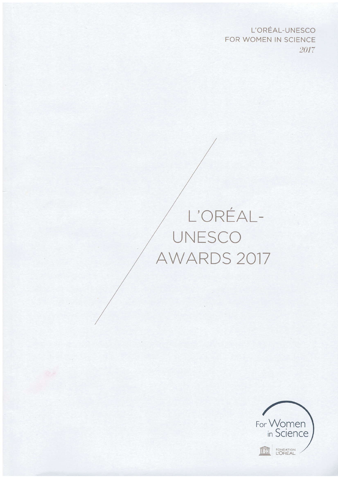L'OREAL-UNESCO FOR WOMEN IN SCIENCE 2017

# L'OREAL-UNESCO AWARDS 2017

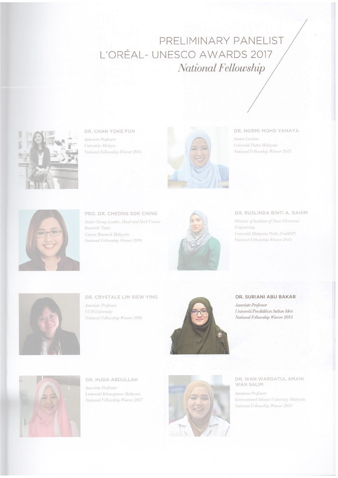# PRELIMINARY PANELIST L'ORÉAL-UNESCO AWARDS 2017 National Fellowship



DR. CHAN YOKE FUN Associate Professor University Malaya National Fellowship Winner 2014



#### DR. NORMI MOHD YAHAYA

Senior Lecturer Universiti Putra Malaysia National Fellowship Winner 2015



PRO. DR. CHEONG SOK CHING Senior Group Leader, Head and Neck Cancer Research Team Cancer Research Malaysia National Fellowship Winner 2008



#### DR. RUSLINDA BINTI A. RAHIM

Director of Institute of Nano Electronic Engineering Universiti Malaysia Perlis (UniMAP) National Fellowship Winner 2013



DR. CRYSTALE LIM SIEW YING Associate Professor **UCSI University** 

National Fellowship Winner 2006



### DR. SURIANI ABU BAKAR

Associate Professor Universiti Pendidikan Sultan Idris National Fellowship Winner 2013



DR. HUDA ABDULLAH Associate Professor Universiti Kebangsaan Malaysia National Fellowship Winner 2007



#### DR. WAN WARDATUL AMANI **WAN SALIM**

Assistant Professor International Islamic University Malaysia National Fellowship Winner 2015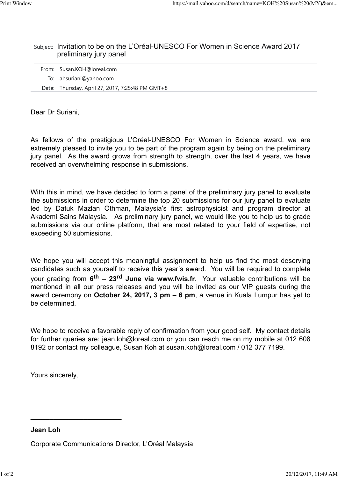## Subject: Invitation to be on the L'Oréal-UNESCO For Women in Science Award 2017 preliminary jury panel

| From: Susan.KOH@loreal.com                       |
|--------------------------------------------------|
| To: absuriani@yahoo.com                          |
| Date: Thursday, April 27, 2017, 7:25:48 PM GMT+8 |

Dear Dr Suriani,

https://mail.yahoo.com/d/search/name=KOH%20Susam%20(MY)&em...<br>
Subject: Invitation to be on the L'Oréal-UNESCO For Women in Science Award 2017<br>
preliminary jury panel<br>
From: Susan.KOH@loreal.com<br>
To: absuriani@yahoo.com<br>
D extremely pleased to invite you to be part of the program again by being on the preliminary jury panel. As the award grows from strength to strength, over the last 4 years, we have received an overwhelming response in submissions.

With this in mind, we have decided to form a panel of the preliminary jury panel to evaluate the submissions in order to determine the top 20 submissions for our jury panel to evaluate From: Susan.KOH@loreal.com<br>
To: absuriani@yahoo.com<br>
Dear Dr Suriani,<br>
Dear Dr Suriani,<br>
As fellows of the prestigious L'Oréal-UNESCO For Women in Science award, we are<br>
extremely pleased to invite you to be part of the pr Akademi Sains Malaysia. As preliminary jury panel, we would like you to help us to grade submissions via our online platform, that are most related to your field of expertise, not exceeding 50 submissions.

We hope you will accept this meaningful assignment to help us find the most deserving candidates such as yourself to receive this year's award. You will be required to complete your grading from  $\boldsymbol{6}^{\text{th}}$  – 23<sup>rd</sup> June via www.fwis.fr. Your valuable contributions will be mentioned in all our press releases and you will be invited as our VIP guests during the award ceremony on October 24, 2017, 3 pm – 6 pm, a venue in Kuala Lumpur has yet to be determined.

We hope to receive a favorable reply of confirmation from your good self. My contact details for further queries are: jean.loh@loreal.com or you can reach me on my mobile at 012 608 8192 or contact my colleague, Susan Koh at susan.koh@loreal.com / 012 377 7199. We hope to receive a favorable reply of confirmation from your good self. My contact details<br>for further queries are: jean.loh@loreal.com or you can reach me on my mobile at 012 608<br>8192 or contact my colleague, Susan Koh

Yours sincerely,

Jean Loh

Corporate Communications Director, L'Oréal Malaysia

 $\mathcal{L}_\text{max}$  , and the contract of the contract of the contract of the contract of the contract of the contract of the contract of the contract of the contract of the contract of the contract of the contract of the contr